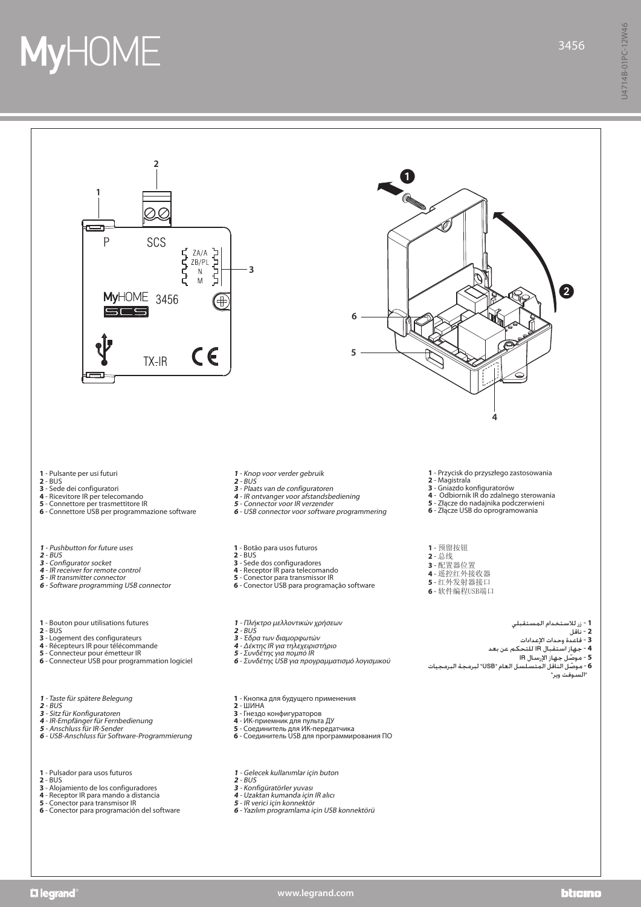## **MyHOME**



## **www.legrand.com**

## bticino